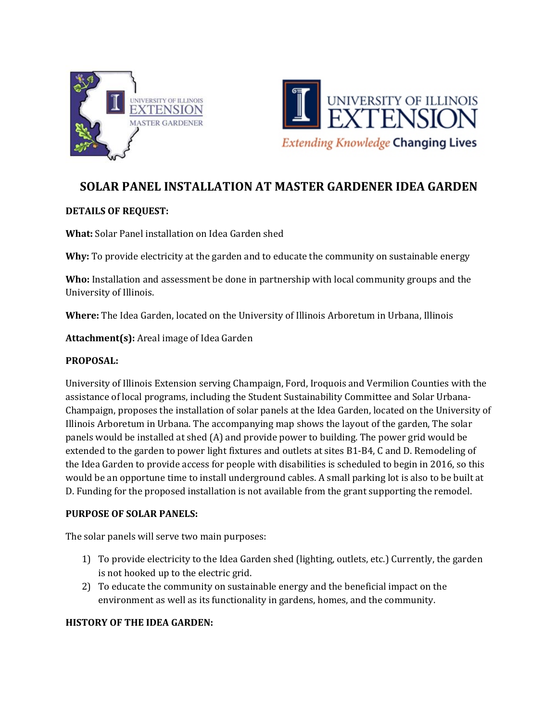



# **SOLAR PANEL INSTALLATION AT MASTER GARDENER IDEA GARDEN**

## **DETAILS OF REQUEST:**

**What:** Solar Panel installation on Idea Garden shed

**Why:** To provide electricity at the garden and to educate the community on sustainable energy

**Who:** Installation and assessment be done in partnership with local community groups and the University of Illinois.

**Where:** The Idea Garden, located on the University of Illinois Arboretum in Urbana, Illinois

**Attachment(s):** Areal image of Idea Garden

#### **PROPOSAL:**

University of Illinois Extension serving Champaign, Ford, Iroquois and Vermilion Counties with the assistance of local programs, including the Student Sustainability Committee and Solar Urbana-Champaign, proposes the installation of solar panels at the Idea Garden, located on the University of Illinois Arboretum in Urbana. The accompanying map shows the layout of the garden, The solar panels would be installed at shed (A) and provide power to building. The power grid would be extended to the garden to power light fixtures and outlets at sites B1-B4, C and D. Remodeling of the Idea Garden to provide access for people with disabilities is scheduled to begin in 2016, so this would be an opportune time to install underground cables. A small parking lot is also to be built at D. Funding for the proposed installation is not available from the grant supporting the remodel.

#### **PURPOSE OF SOLAR PANELS:**

The solar panels will serve two main purposes:

- 1) To provide electricity to the Idea Garden shed (lighting, outlets, etc.) Currently, the garden is not hooked up to the electric grid.
- 2) To educate the community on sustainable energy and the beneficial impact on the environment as well as its functionality in gardens, homes, and the community.

## **HISTORY OF THE IDEA GARDEN:**